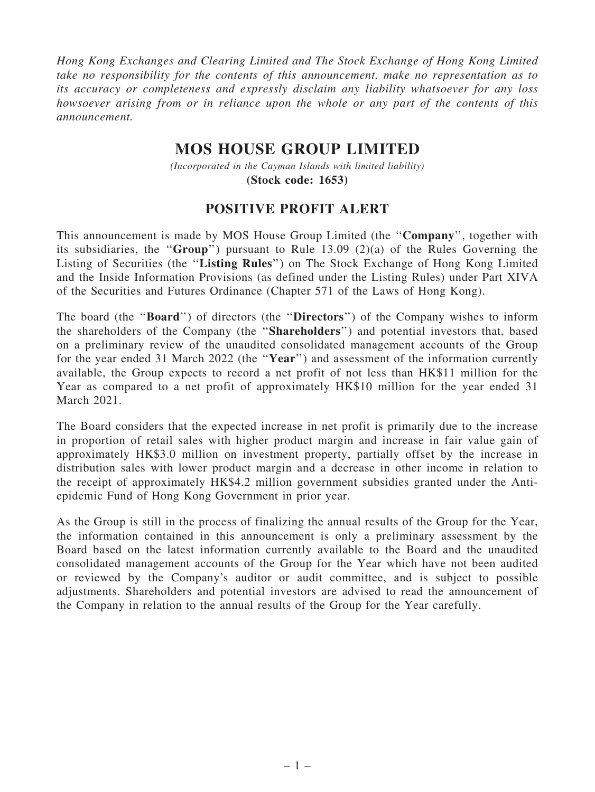Hong Kong Exchanges and Clearing Limited and The Stock Exchange of Hong Kong Limited take no responsibility for the contents of this announcement, make no representation as to its accuracy or completeness and expressly disclaim any liability whatsoever for any loss howsoever arising from or in reliance upon the whole or any part of the contents of this announcement.

## **MOS HOUSE GROUP LIMITED**

*(Incorporated in the Cayman Islands with limited liability)* **(Stock code: 1653)**

## POSITIVE PROFIT ALERT

This announcement is made by MOS House Group Limited (the ''Company'', together with its subsidiaries, the ''Group'') pursuant to Rule 13.09 (2)(a) of the Rules Governing the Listing of Securities (the ''Listing Rules'') on The Stock Exchange of Hong Kong Limited and the Inside Information Provisions (as defined under the Listing Rules) under Part XIVA of the Securities and Futures Ordinance (Chapter 571 of the Laws of Hong Kong).

The board (the "**Board**") of directors (the "**Directors**") of the Company wishes to inform the shareholders of the Company (the ''Shareholders'') and potential investors that, based on a preliminary review of the unaudited consolidated management accounts of the Group for the year ended 31 March 2022 (the "Year") and assessment of the information currently available, the Group expects to record a net profit of not less than HK\$11 million for the Year as compared to a net profit of approximately HK\$10 million for the year ended 31 March 2021.

The Board considers that the expected increase in net profit is primarily due to the increase in proportion of retail sales with higher product margin and increase in fair value gain of approximately HK\$3.0 million on investment property, partially offset by the increase in distribution sales with lower product margin and a decrease in other income in relation to the receipt of approximately HK\$4.2 million government subsidies granted under the Antiepidemic Fund of Hong Kong Government in prior year.

As the Group is still in the process of finalizing the annual results of the Group for the Year, the information contained in this announcement is only a preliminary assessment by the Board based on the latest information currently available to the Board and the unaudited consolidated management accounts of the Group for the Year which have not been audited or reviewed by the Company's auditor or audit committee, and is subject to possible adjustments. Shareholders and potential investors are advised to read the announcement of the Company in relation to the annual results of the Group for the Year carefully.